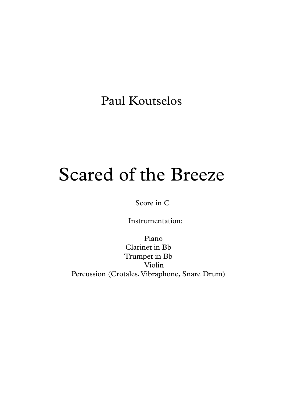## Paul Koutselos

# Scared of the Breeze

Score in C

Instrumentation:

Piano Clarinet in Bb Trumpet in Bb Violin Percussion (Crotales,Vibraphone, Snare Drum)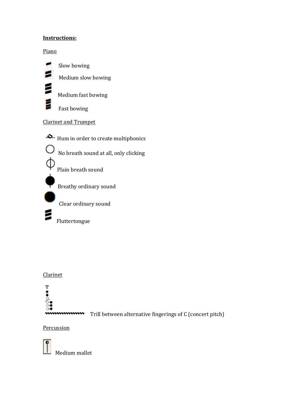#### **Instructions:**

Piano

 $S$ low bowing E

 $\blacksquare$  Medium slow bowing

Medium fast bowing

 $\epsilon$  Fast bowing

Clarinet and Trumpet



#### Clarinet



### **Percussion**

Medium mallet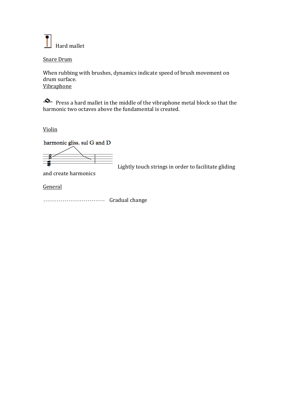

#### Snare Drum

When rubbing with brushes, dynamics indicate speed of brush movement on drum surface. Vibraphone

Press a hard mallet in the middle of the vibraphone metal block so that the harmonic two octaves above the fundamental is created.

Violin

harmonic gliss. sul G and D

Lightly touch strings in order to facilitate gliding

and create harmonics

**General** 

 Gradual change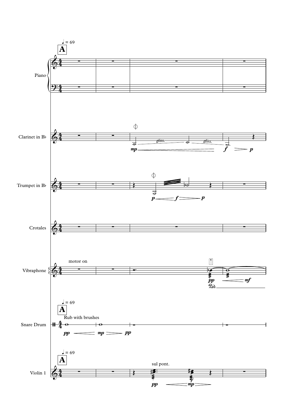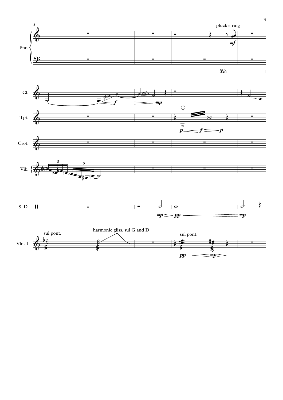

 $\overline{\mathbf{3}}$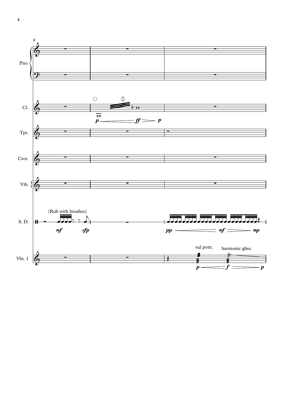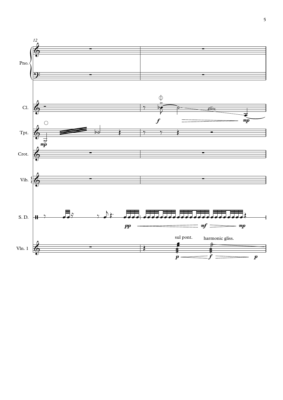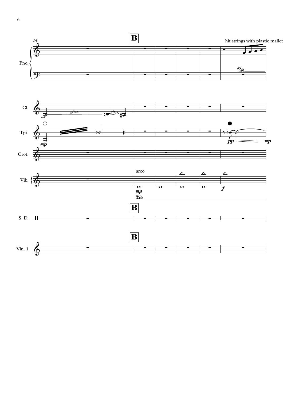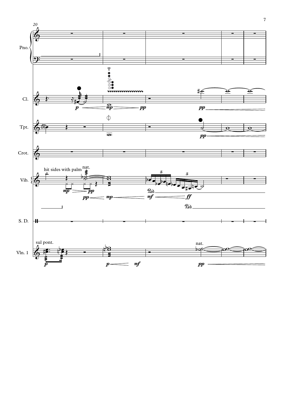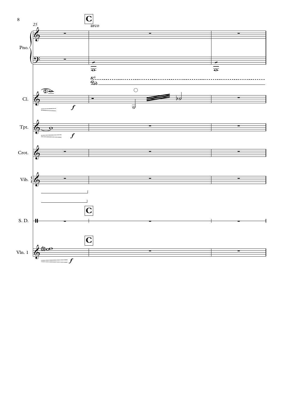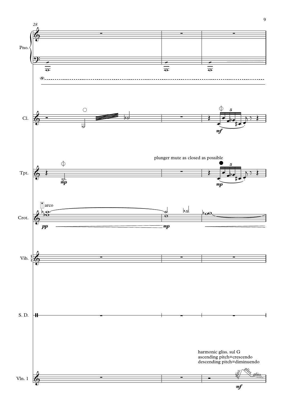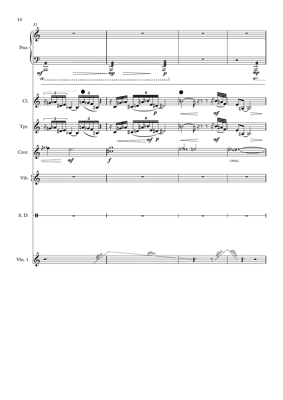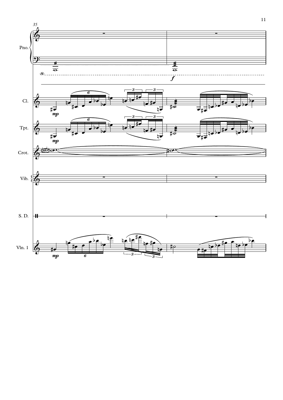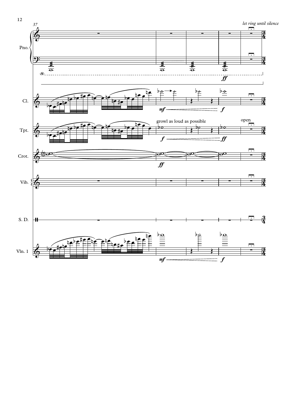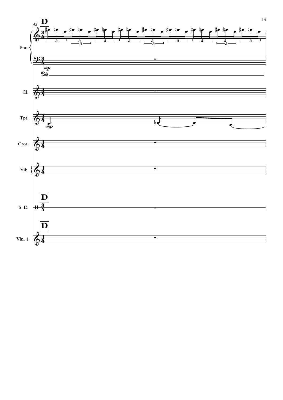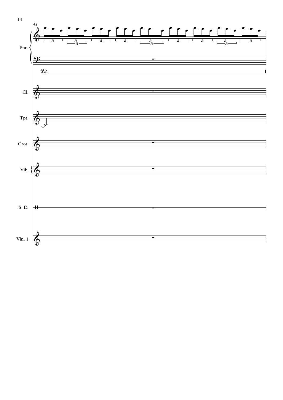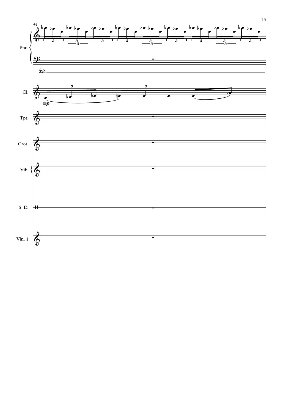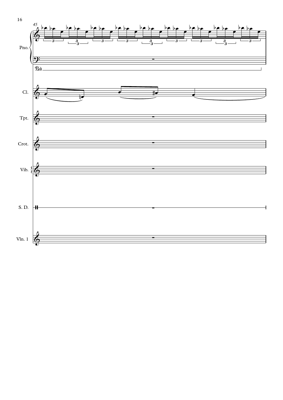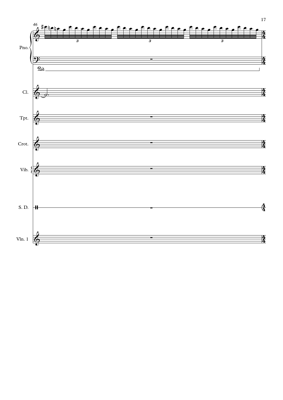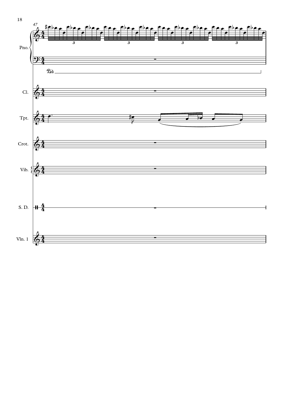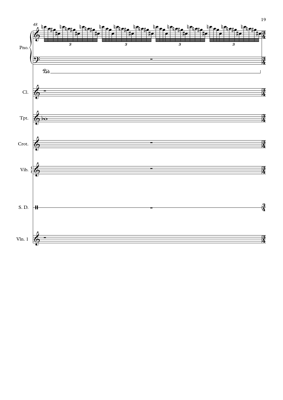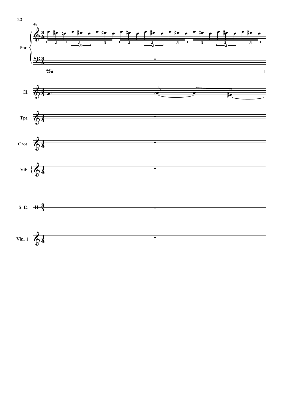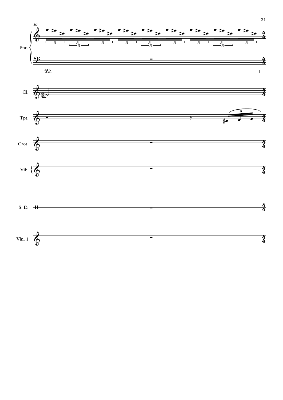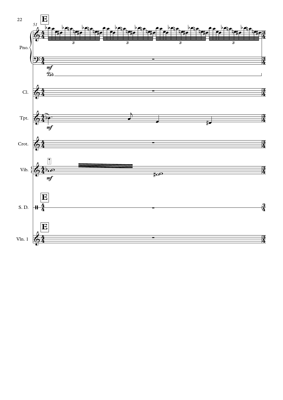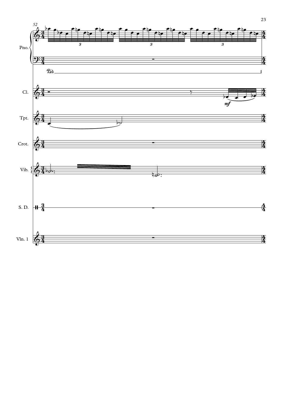

 $\overline{23}$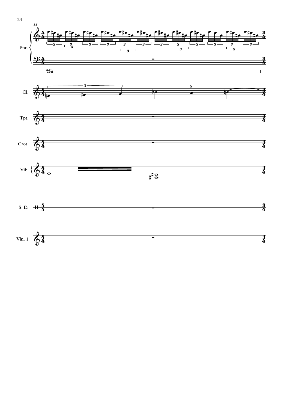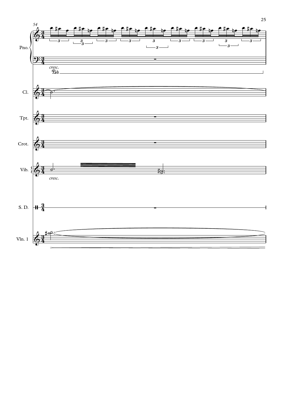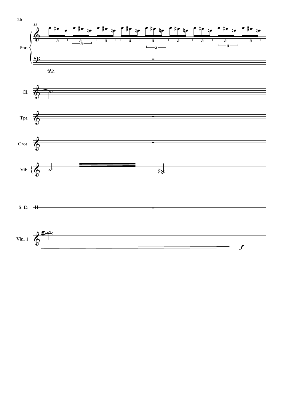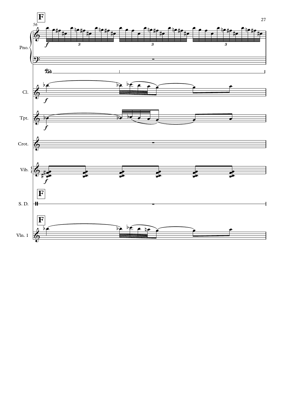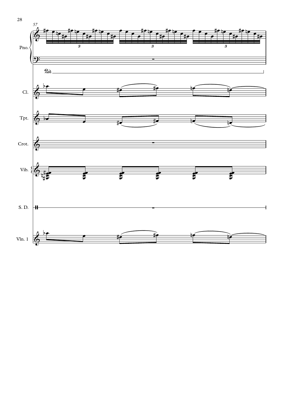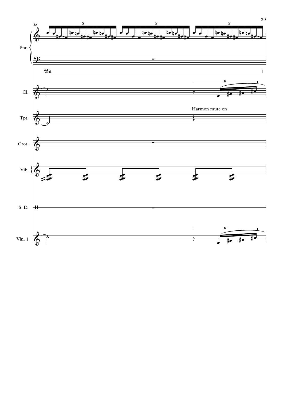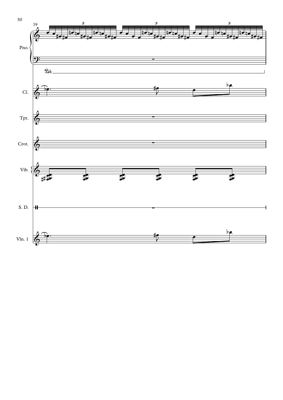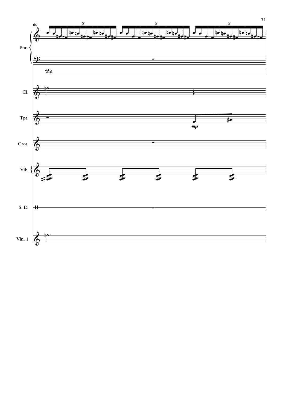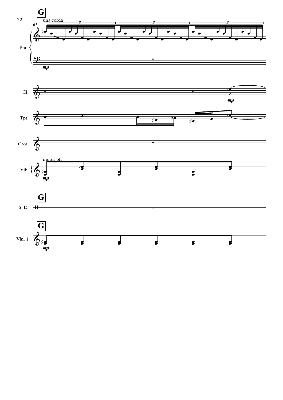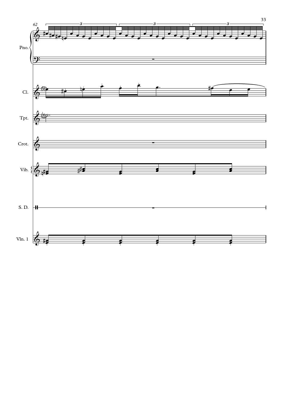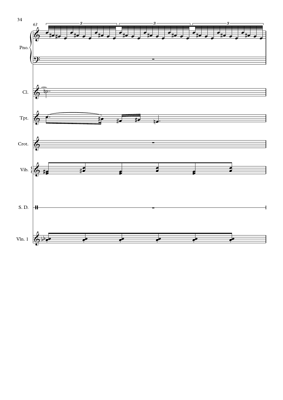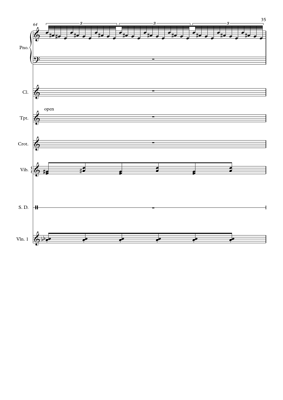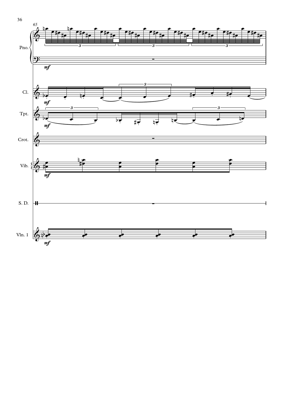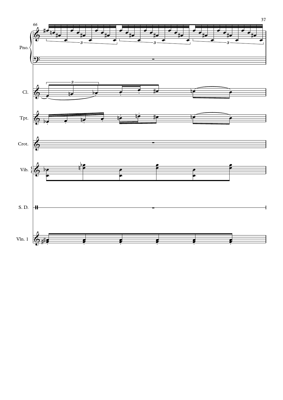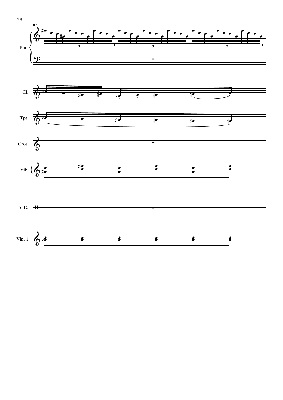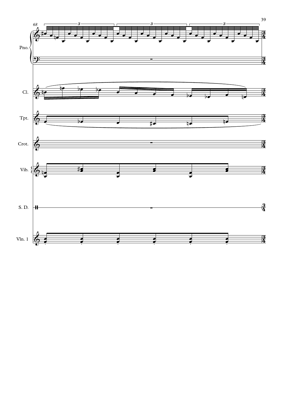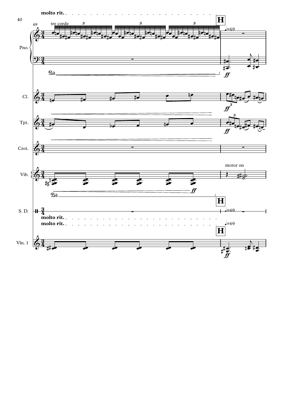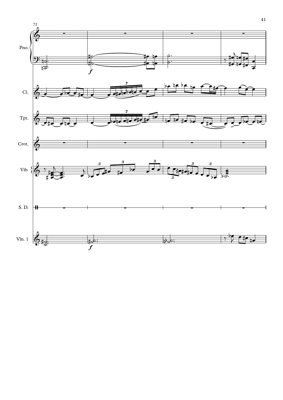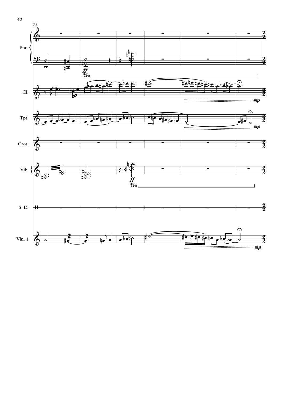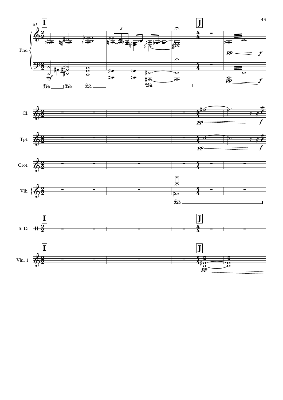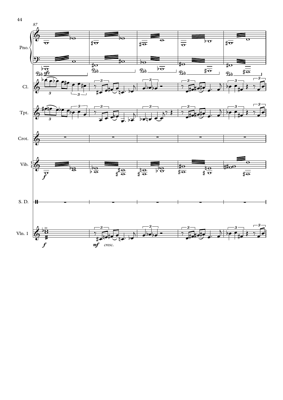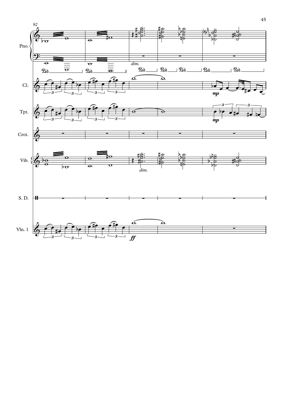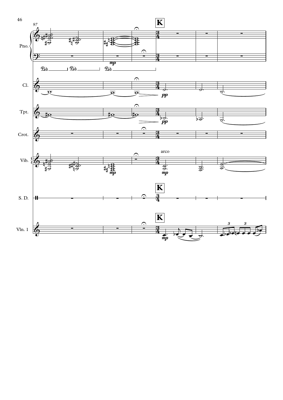